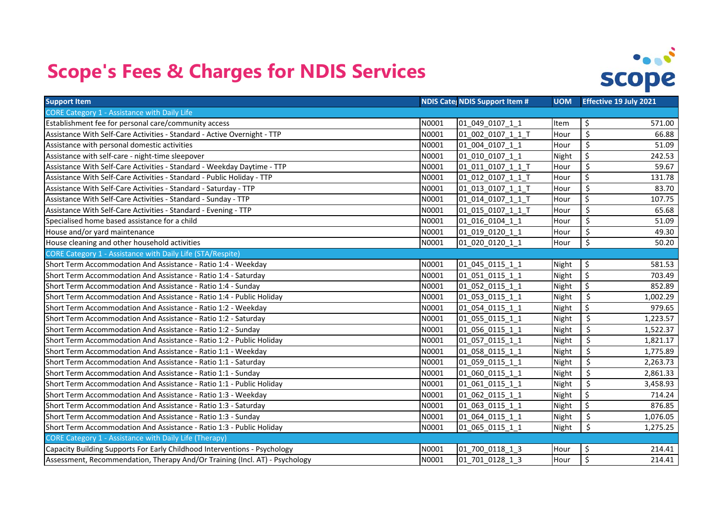## **Scope's Fees & Charges for NDIS Services**



| <b>Support Item</b>                                                         |       | <b>NDIS Cate NDIS Support Item #</b> | <b>UOM</b> | <b>Effective 19 July 2021</b>        |
|-----------------------------------------------------------------------------|-------|--------------------------------------|------------|--------------------------------------|
| <b>CORE Category 1 - Assistance with Daily Life</b>                         |       |                                      |            |                                      |
| Establishment fee for personal care/community access                        | N0001 | 01 049 0107 1 1                      | Item       | \$<br>571.00                         |
| Assistance With Self-Care Activities - Standard - Active Overnight - TTP    | N0001 | 01 002 0107 1 1 T                    | Hour       | $\overline{\mathsf{S}}$<br>66.88     |
| Assistance with personal domestic activities                                | N0001 | 01 004 0107 1 1                      | Hour       | \$<br>51.09                          |
| Assistance with self-care - night-time sleepover                            | N0001 | 01 010 0107 1 1                      | Night      | \$<br>242.53                         |
| Assistance With Self-Care Activities - Standard - Weekday Daytime - TTP     | N0001 | 01_011_0107_1_1_T                    | Hour       | \$<br>59.67                          |
| Assistance With Self-Care Activities - Standard - Public Holiday - TTP      | N0001 | 01 012 0107 1 1 T                    | Hour       | $\overline{\xi}$<br>131.78           |
| Assistance With Self-Care Activities - Standard - Saturday - TTP            | N0001 | 01 013 0107 1 1 T                    | Hour       | \$<br>83.70                          |
| Assistance With Self-Care Activities - Standard - Sunday - TTP              | N0001 | 01 014_0107_1_1_T                    | Hour       | \$<br>107.75                         |
| Assistance With Self-Care Activities - Standard - Evening - TTP             | N0001 | 01 015 0107 1 1 T                    | Hour       | \$<br>65.68                          |
| Specialised home based assistance for a child                               | N0001 | 01 016 0104 1 1                      | Hour       | $\overline{\mathsf{S}}$<br>51.09     |
| House and/or yard maintenance                                               | N0001 | 01 019 0120 1 1                      | Hour       | $\overline{\mathsf{S}}$<br>49.30     |
| House cleaning and other household activities                               | N0001 | 01 020 0120 1 1                      | Hour       | \$<br>50.20                          |
| CORE Category 1 - Assistance with Daily Life (STA/Respite)                  |       |                                      |            |                                      |
| Short Term Accommodation And Assistance - Ratio 1:4 - Weekday               | N0001 | 01 045 0115 1 1                      | Night      | \$<br>581.53                         |
| Short Term Accommodation And Assistance - Ratio 1:4 - Saturday              | N0001 | 01 051 0115 1 1                      | Night      | $\overline{\xi}$<br>703.49           |
| Short Term Accommodation And Assistance - Ratio 1:4 - Sunday                | N0001 | 01 052 0115 1 1                      | Night      | $\zeta$<br>852.89                    |
| Short Term Accommodation And Assistance - Ratio 1:4 - Public Holiday        | N0001 | 01 053 0115 1 1                      | Night      | $\overline{\mathcal{S}}$<br>1,002.29 |
| Short Term Accommodation And Assistance - Ratio 1:2 - Weekday               | N0001 | 01 054 0115 1 1                      | Night      | \$<br>979.65                         |
| Short Term Accommodation And Assistance - Ratio 1:2 - Saturday              | N0001 | 01 055 0115 1 1                      | Night      | \$<br>1,223.57                       |
| Short Term Accommodation And Assistance - Ratio 1:2 - Sunday                | N0001 | 01 056_0115_1_1                      | Night      | $\overline{\xi}$<br>1,522.37         |
| Short Term Accommodation And Assistance - Ratio 1:2 - Public Holiday        | N0001 | 01 057 0115 1 1                      | Night      | \$<br>1,821.17                       |
| Short Term Accommodation And Assistance - Ratio 1:1 - Weekday               | N0001 | 01 058 0115 1 1                      | Night      | $\overline{\varsigma}$<br>1,775.89   |
| Short Term Accommodation And Assistance - Ratio 1:1 - Saturday              | N0001 | 01_059_0115_1_1                      | Night      | \$<br>2,263.73                       |
| Short Term Accommodation And Assistance - Ratio 1:1 - Sunday                | N0001 | 01 060 0115 1 1                      | Night      | \$<br>2,861.33                       |
| Short Term Accommodation And Assistance - Ratio 1:1 - Public Holiday        | N0001 | 01_061_0115_1_1                      | Night      | \$<br>3,458.93                       |
| Short Term Accommodation And Assistance - Ratio 1:3 - Weekday               | N0001 | 01 062 0115 1 1                      | Night      | $\zeta$<br>714.24                    |
| Short Term Accommodation And Assistance - Ratio 1:3 - Saturday              | N0001 | 01 063 0115 1 1                      | Night      | $\overline{\mathsf{S}}$<br>876.85    |
| Short Term Accommodation And Assistance - Ratio 1:3 - Sunday                | N0001 | 01_064_0115_1_1                      | Night      | \$<br>1,076.05                       |
| Short Term Accommodation And Assistance - Ratio 1:3 - Public Holiday        | N0001 | 01 065 0115 1 1                      | Night      | \$<br>1,275.25                       |
| <b>CORE Category 1 - Assistance with Daily Life (Therapy)</b>               |       |                                      |            |                                      |
| Capacity Building Supports For Early Childhood Interventions - Psychology   | N0001 | 01 700 0118 1 3                      | Hour       | \$<br>214.41                         |
| Assessment, Recommendation, Therapy And/Or Training (Incl. AT) - Psychology | N0001 | 01 701 0128 1 3                      | Hour       | $\overline{\mathcal{S}}$<br>214.41   |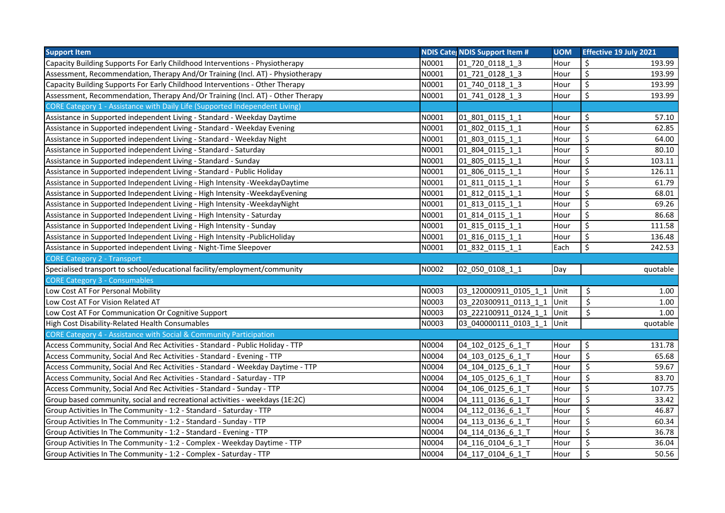| <b>Support Item</b>                                                            |       | <b>NDIS Cate NDIS Support Item #</b> | <b>UOM</b> | <b>Effective 19 July 2021</b>      |
|--------------------------------------------------------------------------------|-------|--------------------------------------|------------|------------------------------------|
| Capacity Building Supports For Early Childhood Interventions - Physiotherapy   | N0001 | 01 720 0118 1 3                      | Hour       | \$<br>193.99                       |
| Assessment, Recommendation, Therapy And/Or Training (Incl. AT) - Physiotherapy | N0001 | 01_721_0128_1_3                      | Hour       | $\overline{\mathcal{S}}$<br>193.99 |
| Capacity Building Supports For Early Childhood Interventions - Other Therapy   | N0001 | 01 740 0118 1 3                      | Hour       | \$<br>193.99                       |
| Assessment, Recommendation, Therapy And/Or Training (Incl. AT) - Other Therapy | N0001 | 01 741 0128 1 3                      | Hour       | \$<br>193.99                       |
| CORE Category 1 - Assistance with Daily Life (Supported Independent Living)    |       |                                      |            |                                    |
| Assistance in Supported independent Living - Standard - Weekday Daytime        | N0001 | 01_801_0115_1_1                      | Hour       | \$<br>57.10                        |
| Assistance in Supported independent Living - Standard - Weekday Evening        | N0001 | 01_802_0115_1_1                      | Hour       | \$<br>62.85                        |
| Assistance in Supported independent Living - Standard - Weekday Night          | N0001 | 01 803 0115 1 1                      | Hour       | \$<br>64.00                        |
| Assistance in Supported independent Living - Standard - Saturday               | N0001 | 01 804 0115 1 1                      | Hour       | \$<br>80.10                        |
| Assistance in Supported independent Living - Standard - Sunday                 | N0001 | 01 805 0115 1 1                      | Hour       | \$<br>103.11                       |
| Assistance in Supported independent Living - Standard - Public Holiday         | N0001 | 01 806 0115 1 1                      | Hour       | \$<br>126.11                       |
| Assistance in Supported Independent Living - High Intensity -WeekdayDaytime    | N0001 | 01_811_0115_1_1                      | Hour       | \$<br>61.79                        |
| Assistance in Supported Independent Living - High Intensity - Weekday Evening  | N0001 | 01_812_0115_1_1                      | Hour       | \$<br>68.01                        |
| Assistance in Supported Independent Living - High Intensity - Weekday Night    | N0001 | 01_813_0115_1_1                      | Hour       | $\zeta$<br>69.26                   |
| Assistance in Supported Independent Living - High Intensity - Saturday         | N0001 | 01_814_0115_1_1                      | Hour       | $\overline{\mathsf{S}}$<br>86.68   |
| Assistance in Supported Independent Living - High Intensity - Sunday           | N0001 | 01 815 0115 1 1                      | Hour       | \$<br>111.58                       |
| Assistance in Supported Independent Living - High Intensity - PublicHoliday    | N0001 | 01 816 0115 1 1                      | Hour       | \$<br>136.48                       |
| Assistance in Supported independent Living - Night-Time Sleepover              | N0001 | 01_832_0115_1_1                      | Each       | \$<br>242.53                       |
| <b>CORE Category 2 - Transport</b>                                             |       |                                      |            |                                    |
| Specialised transport to school/educational facility/employment/community      | N0002 | 02_050_0108_1_1                      | Day        | quotable                           |
| <b>CORE Category 3 - Consumables</b>                                           |       |                                      |            |                                    |
| Low Cost AT For Personal Mobility                                              | N0003 | 03 120000911 0105 1 1 Unit           |            | \$<br>1.00                         |
| Low Cost AT For Vision Related AT                                              | N0003 | 03 220300911_0113_1_1 Unit           |            | \$<br>1.00                         |
| Low Cost AT For Communication Or Cognitive Support                             | N0003 | 03 222100911 0124 1 1 Unit           |            | \$<br>1.00                         |
| High Cost Disability-Related Health Consumables                                | N0003 | 03 040000111 0103 1 1 Unit           |            | quotable                           |
| CORE Category 4 - Assistance with Social & Community Participation             |       |                                      |            |                                    |
| Access Community, Social And Rec Activities - Standard - Public Holiday - TTP  | N0004 | 04_102_0125_6_1_T                    | Hour       | \$<br>131.78                       |
| Access Community, Social And Rec Activities - Standard - Evening - TTP         | N0004 | 04_103_0125_6_1_T                    | Hour       | \$<br>65.68                        |
| Access Community, Social And Rec Activities - Standard - Weekday Daytime - TTP | N0004 | 04 104 0125 6 1 T                    | Hour       | \$<br>59.67                        |
| Access Community, Social And Rec Activities - Standard - Saturday - TTP        | N0004 | 04 105 0125 6 1 T                    | Hour       | \$<br>83.70                        |
| Access Community, Social And Rec Activities - Standard - Sunday - TTP          | N0004 | 04 106 0125 6 1 T                    | Hour       | \$<br>107.75                       |
| Group based community, social and recreational activities - weekdays (1E:2C)   | N0004 | 04 111 0136 6 1 T                    | Hour       | \$<br>33.42                        |
| Group Activities In The Community - 1:2 - Standard - Saturday - TTP            | N0004 | 04_112_0136_6_1_T                    | Hour       | \$<br>46.87                        |
| Group Activities In The Community - 1:2 - Standard - Sunday - TTP              | N0004 | 04_113_0136_6_1_T                    | Hour       | \$<br>60.34                        |
| Group Activities In The Community - 1:2 - Standard - Evening - TTP             | N0004 | 04 114 0136 6 1 T                    | Hour       | \$<br>36.78                        |
| Group Activities In The Community - 1:2 - Complex - Weekday Daytime - TTP      | N0004 | 04 116 0104 6 1 T                    | Hour       | \$<br>36.04                        |
| Group Activities In The Community - 1:2 - Complex - Saturday - TTP             | N0004 | 04 117 0104 6 1 T                    | Hour       | \$<br>50.56                        |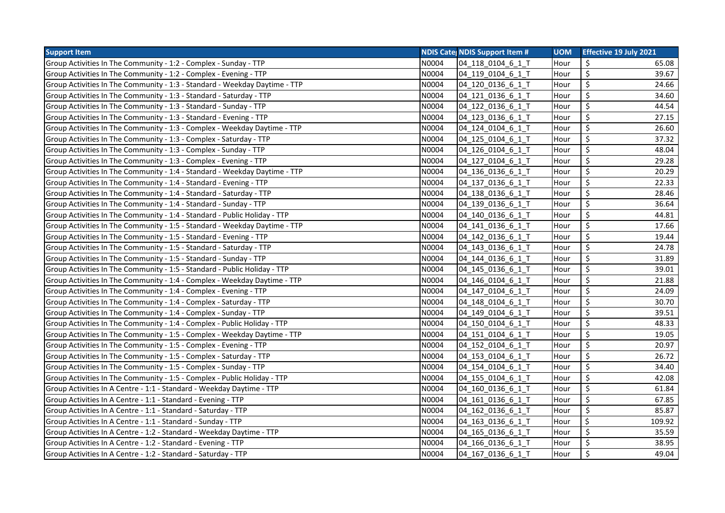| <b>Support Item</b>                                                        |       | <b>NDIS Cate NDIS Support Item #</b> | <b>UOM</b> | <b>Effective 19 July 2021</b> |
|----------------------------------------------------------------------------|-------|--------------------------------------|------------|-------------------------------|
| Group Activities In The Community - 1:2 - Complex - Sunday - TTP           | N0004 | 04 118 0104 6 1 T                    | Hour       | \$<br>65.08                   |
| Group Activities In The Community - 1:2 - Complex - Evening - TTP          | N0004 | 04 119 0104 6 1 T                    | Hour       | \$<br>39.67                   |
| Group Activities In The Community - 1:3 - Standard - Weekday Daytime - TTP | N0004 | 04 120 0136 6 1 T                    | Hour       | \$<br>24.66                   |
| Group Activities In The Community - 1:3 - Standard - Saturday - TTP        | N0004 | 04_121_0136_6_1_T                    | Hour       | \$<br>34.60                   |
| Group Activities In The Community - 1:3 - Standard - Sunday - TTP          | N0004 | 04_122_0136_6_1_T                    | Hour       | \$<br>44.54                   |
| Group Activities In The Community - 1:3 - Standard - Evening - TTP         | N0004 | 04 123 0136 6 1 T                    | Hour       | \$<br>27.15                   |
| Group Activities In The Community - 1:3 - Complex - Weekday Daytime - TTP  | N0004 | 04 124 0104 6 1 T                    | Hour       | \$<br>26.60                   |
| Group Activities In The Community - 1:3 - Complex - Saturday - TTP         | N0004 | 04 125 0104 6 1 T                    | Hour       | \$<br>37.32                   |
| Group Activities In The Community - 1:3 - Complex - Sunday - TTP           | N0004 | 04 126 0104 6 1 T                    | Hour       | \$<br>48.04                   |
| Group Activities In The Community - 1:3 - Complex - Evening - TTP          | N0004 | 04 127 0104 6 1 T                    | Hour       | \$<br>29.28                   |
| Group Activities In The Community - 1:4 - Standard - Weekday Daytime - TTP | N0004 | 04_136_0136_6_1_T                    | Hour       | \$<br>20.29                   |
| Group Activities In The Community - 1:4 - Standard - Evening - TTP         | N0004 | 04 137 0136 6 1 T                    | Hour       | \$<br>22.33                   |
| Group Activities In The Community - 1:4 - Standard - Saturday - TTP        | N0004 | 04 138 0136 6 1 T                    | Hour       | \$<br>28.46                   |
| Group Activities In The Community - 1:4 - Standard - Sunday - TTP          | N0004 | 04_139_0136_6_1_T                    | Hour       | \$<br>36.64                   |
| Group Activities In The Community - 1:4 - Standard - Public Holiday - TTP  | N0004 | 04_140_0136_6_1_T                    | Hour       | \$<br>44.81                   |
| Group Activities In The Community - 1:5 - Standard - Weekday Daytime - TTP | N0004 | 04_141_0136_6_1_T                    | Hour       | \$<br>17.66                   |
| Group Activities In The Community - 1:5 - Standard - Evening - TTP         | N0004 | 04 142 0136 6 1 T                    | Hour       | \$<br>19.44                   |
| Group Activities In The Community - 1:5 - Standard - Saturday - TTP        | N0004 | 04 143 0136 6 1 T                    | Hour       | \$<br>24.78                   |
| Group Activities In The Community - 1:5 - Standard - Sunday - TTP          | N0004 | 04_144_0136_6_1_T                    | Hour       | \$<br>31.89                   |
| Group Activities In The Community - 1:5 - Standard - Public Holiday - TTP  | N0004 | 04_145_0136_6_1_T                    | Hour       | \$<br>39.01                   |
| Group Activities In The Community - 1:4 - Complex - Weekday Daytime - TTP  | N0004 | 04 146 0104 6 1 T                    | Hour       | \$<br>21.88                   |
| Group Activities In The Community - 1:4 - Complex - Evening - TTP          | N0004 | 04 147 0104 6 1 T                    | Hour       | \$<br>24.09                   |
| Group Activities In The Community - 1:4 - Complex - Saturday - TTP         | N0004 | 04 148 0104 6 1 T                    | Hour       | \$<br>30.70                   |
| Group Activities In The Community - 1:4 - Complex - Sunday - TTP           | N0004 | 04_149_0104_6_1_T                    | Hour       | \$<br>39.51                   |
| Group Activities In The Community - 1:4 - Complex - Public Holiday - TTP   | N0004 | 04_150_0104_6_1_T                    | Hour       | \$<br>48.33                   |
| Group Activities In The Community - 1:5 - Complex - Weekday Daytime - TTP  | N0004 | 04 151 0104 6 1 T                    | Hour       | \$<br>19.05                   |
| Group Activities In The Community - 1:5 - Complex - Evening - TTP          | N0004 | 04 152 0104 6 1 T                    | Hour       | \$<br>20.97                   |
| Group Activities In The Community - 1:5 - Complex - Saturday - TTP         | N0004 | 04 153 0104 6 1 T                    | Hour       | \$<br>26.72                   |
| Group Activities In The Community - 1:5 - Complex - Sunday - TTP           | N0004 | 04_154_0104_6_1_T                    | Hour       | \$<br>34.40                   |
| Group Activities In The Community - 1:5 - Complex - Public Holiday - TTP   | N0004 | 04 155 0104 6 1 T                    | Hour       | \$<br>42.08                   |
| Group Activities In A Centre - 1:1 - Standard - Weekday Daytime - TTP      | N0004 | 04 160 0136 6 1 T                    | Hour       | \$<br>61.84                   |
| Group Activities In A Centre - 1:1 - Standard - Evening - TTP              | N0004 | 04 161 0136 6 1 T                    | Hour       | \$<br>67.85                   |
| Group Activities In A Centre - 1:1 - Standard - Saturday - TTP             | N0004 | 04 162 0136 6 1 T                    | Hour       | \$<br>85.87                   |
| Group Activities In A Centre - 1:1 - Standard - Sunday - TTP               | N0004 | 04_163_0136_6_1_T                    | Hour       | \$<br>109.92                  |
| Group Activities In A Centre - 1:2 - Standard - Weekday Daytime - TTP      | N0004 | 04_165_0136_6_1_T                    | Hour       | \$<br>35.59                   |
| Group Activities In A Centre - 1:2 - Standard - Evening - TTP              | N0004 | 04 166 0136 6 1 T                    | Hour       | \$<br>38.95                   |
| Group Activities In A Centre - 1:2 - Standard - Saturday - TTP             | N0004 | 04 167 0136 6 1 T                    | Hour       | \$<br>49.04                   |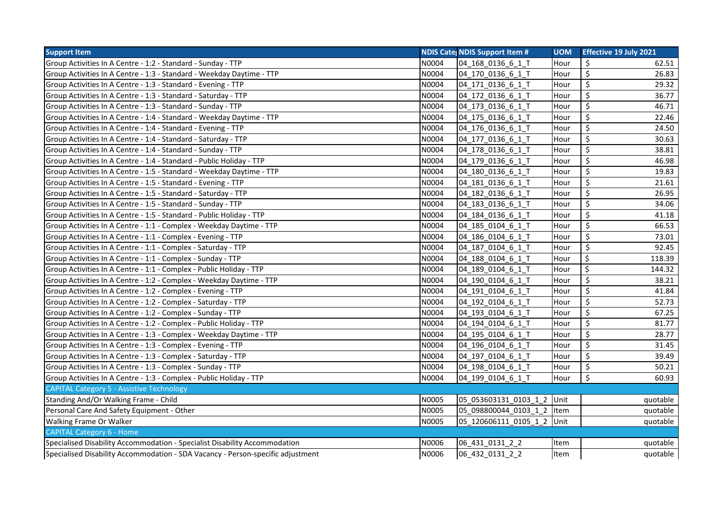| <b>Support Item</b>                                                             |       | <b>NDIS Cates NDIS Support Item #</b> | <b>UOM</b> | <b>Effective 19 July 2021</b> |
|---------------------------------------------------------------------------------|-------|---------------------------------------|------------|-------------------------------|
| Group Activities In A Centre - 1:2 - Standard - Sunday - TTP                    | N0004 | 04_168_0136_6_1_T                     | Hour       | \$<br>62.51                   |
| Group Activities In A Centre - 1:3 - Standard - Weekday Daytime - TTP           | N0004 | 04 170 0136 6 1 T                     | Hour       | \$<br>26.83                   |
| Group Activities In A Centre - 1:3 - Standard - Evening - TTP                   | N0004 | 04_171_0136_6_1_T                     | Hour       | \$<br>29.32                   |
| Group Activities In A Centre - 1:3 - Standard - Saturday - TTP                  | N0004 | 04 172 0136 6 1 T                     | Hour       | \$<br>36.77                   |
| Group Activities In A Centre - 1:3 - Standard - Sunday - TTP                    | N0004 | 04 173 0136 6 1 T                     | Hour       | $\boldsymbol{\zeta}$<br>46.71 |
| Group Activities In A Centre - 1:4 - Standard - Weekday Daytime - TTP           | N0004 | 04 175 0136 6 1 T                     | Hour       | $\boldsymbol{\zeta}$<br>22.46 |
| Group Activities In A Centre - 1:4 - Standard - Evening - TTP                   | N0004 | 04 176 0136 6 1 T                     | Hour       | \$<br>24.50                   |
| Group Activities In A Centre - 1:4 - Standard - Saturday - TTP                  | N0004 | 04_177_0136_6 1 T                     | Hour       | \$<br>30.63                   |
| Group Activities In A Centre - 1:4 - Standard - Sunday - TTP                    | N0004 | 04 178 0136 6 1 T                     | Hour       | $\boldsymbol{\zeta}$<br>38.81 |
| Group Activities In A Centre - 1:4 - Standard - Public Holiday - TTP            | N0004 | 04 179 0136 6 1 T                     | Hour       | \$<br>46.98                   |
| Group Activities In A Centre - 1:5 - Standard - Weekday Daytime - TTP           | N0004 | 04 180 0136 6 1 T                     | Hour       | $\boldsymbol{\zeta}$<br>19.83 |
| Group Activities In A Centre - 1:5 - Standard - Evening - TTP                   | N0004 | 04 181 0136 6 1 T                     | Hour       | \$<br>21.61                   |
| Group Activities In A Centre - 1:5 - Standard - Saturday - TTP                  | N0004 | 04 182 0136 6 1 T                     | Hour       | $\boldsymbol{\zeta}$<br>26.95 |
| Group Activities In A Centre - 1:5 - Standard - Sunday - TTP                    | N0004 | 04 183 0136 6 1 T                     | Hour       | $\boldsymbol{\zeta}$<br>34.06 |
| Group Activities In A Centre - 1:5 - Standard - Public Holiday - TTP            | N0004 | 04 184 0136 6 1 T                     | Hour       | \$<br>41.18                   |
| Group Activities In A Centre - 1:1 - Complex - Weekday Daytime - TTP            | N0004 | 04 185 0104 6 1 T                     | Hour       | \$<br>66.53                   |
| Group Activities In A Centre - 1:1 - Complex - Evening - TTP                    | N0004 | 04 186 0104 6 1 T                     | Hour       | \$<br>73.01                   |
| Group Activities In A Centre - 1:1 - Complex - Saturday - TTP                   | N0004 | 04 187 0104 6 1 T                     | Hour       | \$<br>92.45                   |
| Group Activities In A Centre - 1:1 - Complex - Sunday - TTP                     | N0004 | 04 188 0104 6 1 T                     | Hour       | Ś.<br>118.39                  |
| Group Activities In A Centre - 1:1 - Complex - Public Holiday - TTP             | N0004 | 04 189 0104 6 1 T                     | Hour       | \$<br>144.32                  |
| Group Activities In A Centre - 1:2 - Complex - Weekday Daytime - TTP            | N0004 | 04_190_0104_6 1 T                     | Hour       | \$<br>38.21                   |
| Group Activities In A Centre - 1:2 - Complex - Evening - TTP                    | N0004 | 04 191 0104 6 1 T                     | Hour       | \$<br>41.84                   |
| Group Activities In A Centre - 1:2 - Complex - Saturday - TTP                   | N0004 | 04 192 0104 6 1 T                     | Hour       | \$<br>52.73                   |
| Group Activities In A Centre - 1:2 - Complex - Sunday - TTP                     | N0004 | 04 193 0104 6 1 T                     | Hour       | \$<br>67.25                   |
| Group Activities In A Centre - 1:2 - Complex - Public Holiday - TTP             | N0004 | 04 194 0104 6 1 T                     | Hour       | \$<br>81.77                   |
| Group Activities In A Centre - 1:3 - Complex - Weekday Daytime - TTP            | N0004 | 04 195 0104 6 1 T                     | Hour       | \$<br>28.77                   |
| Group Activities In A Centre - 1:3 - Complex - Evening - TTP                    | N0004 | 04 196 0104 6 1 T                     | Hour       | $\boldsymbol{\zeta}$<br>31.45 |
| Group Activities In A Centre - 1:3 - Complex - Saturday - TTP                   | N0004 | 04 197 0104 6 1 T                     | Hour       | \$<br>39.49                   |
| Group Activities In A Centre - 1:3 - Complex - Sunday - TTP                     | N0004 | 04 198 0104 6 1 T                     | Hour       | $\boldsymbol{\zeta}$<br>50.21 |
| Group Activities In A Centre - 1:3 - Complex - Public Holiday - TTP             | N0004 | 04_199_0104_6_1_T                     | Hour       | \$<br>60.93                   |
| <b>CAPITAL Category 5 - Assistive Technology</b>                                |       |                                       |            |                               |
| Standing And/Or Walking Frame - Child                                           | N0005 | 05 053603131 0103 1 2 Unit            |            | quotable                      |
| Personal Care And Safety Equipment - Other                                      | N0005 | 05 098800044 0103 1 2 Item            |            | quotable                      |
| <b>Walking Frame Or Walker</b>                                                  | N0005 | 05_120606111_0105_1_2 Unit            |            | quotable                      |
| <b>CAPITAL Category 6 - Home</b>                                                |       |                                       |            |                               |
| Specialised Disability Accommodation - Specialist Disability Accommodation      | N0006 | 06_431_0131_2_2                       | Item       | quotable                      |
| Specialised Disability Accommodation - SDA Vacancy - Person-specific adjustment | N0006 | 06_432_0131_2_2                       | Item       | quotable                      |